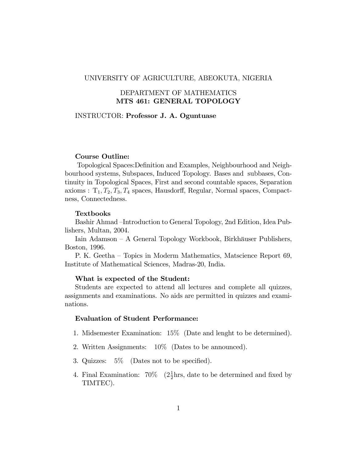#### UNIVERSITY OF AGRICULTURE, ABEOKUTA, NIGERIA

## DEPARTMENT OF MATHEMATICS MTS 461: GENERAL TOPOLOGY

#### INSTRUCTOR: Professor J. A. Oguntuase

#### Course Outline:

Topological Spaces: Definition and Examples, Neighbourhood and Neighbourhood systems, Subspaces, Induced Topology. Bases and subbases, Continuity in Topological Spaces, First and second countable spaces, Separation axioms :  $T_1, T_2, T_3, T_4$  spaces, Hausdorff, Regular, Normal spaces, Compactness, Connectedness.

#### Textbooks

Bashir Ahmad –Introduction to General Topology, 2nd Edition, Idea Publishers, Multan, 2004.

Iain Adamson – A General Topology Workbook, Birkhäuser Publishers, Boston, 1996.

P. K. Geetha – Topics in Moderm Mathematics, Matscience Report 69, Institute of Mathematical Sciences, Madras-20, India.

#### What is expected of the Student:

Students are expected to attend all lectures and complete all quizzes, assignments and examinations. No aids are permitted in quizzes and examinations.

### Evaluation of Student Performance:

- 1. Midsemester Examination: 15% (Date and lenght to be determined).
- 2. Written Assignments: 10% (Dates to be announced).
- 3. Quizzes:  $5\%$  (Dates not to be specified).
- 4. Final Examination:  $70\%$   $(2\frac{1}{2})$  $\frac{1}{2}$ hrs, date to be determined and fixed by TIMTEC).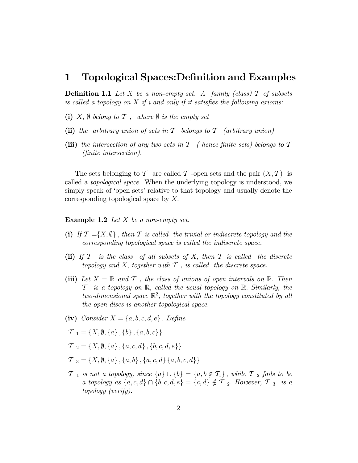## 1 Topological Spaces: Definition and Examples

**Definition 1.1** Let X be a non-empty set. A family (class)  $\mathcal{T}$  of subsets is called a topology on  $X$  if i and only if it satisfies the following axioms:

- (i) X,  $\emptyset$  belong to T, where  $\emptyset$  is the empty set
- (ii) the arbitrary union of sets in  $\mathcal T$  belongs to  $\mathcal T$  (arbitrary union)
- (iii) the intersection of any two sets in  $\mathcal T$  ( hence finite sets) belongs to  $\mathcal T$ (Önite intersection).

The sets belonging to T are called T -open sets and the pair  $(X, \mathcal{T})$  is called a topological space. When the underlying topology is understood, we simply speak of 'open sets' relative to that topology and usually denote the corresponding topological space by  $X$ .

**Example 1.2** Let  $X$  be a non-empty set.

- (i) If  $\mathcal{T} = \{X, \emptyset\}$ , then  $\mathcal T$  is called the trivial or indiscrete topology and the corresponding topological space is called the indiscrete space.
- (ii) If  $\mathcal T$  is the class of all subsets of X; then  $\mathcal T$  is called the discrete topology and  $X$ , together with  $T$ , is called the discrete space.
- (iii) Let  $X = \mathbb{R}$  and  $\mathcal T$ , the class of unions of open intervals on  $\mathbb{R}$ . Then  $\mathcal T$  is a topology on  $\mathbb R$ , called the usual topology on  $\mathbb R$ . Similarly, the two-dimensional space  $\mathbb{R}^2$ , together with the topology constituted by all the open discs is another topological space.
- (iv) Consider  $X = \{a, b, c, d, e\}$ . Define
- $\mathcal{T}_1 = \{X, \emptyset, \{a\}, \{b\}, \{a, b, c\}\}\$
- $\mathcal{T}_2 = \{X, \emptyset, \{a\}, \{a, c, d\}, \{b, c, d, e\}\}\$
- $\mathcal{T}_3 = \{X, \emptyset, \{a\}, \{a, b\}, \{a, c, d\}, \{a, b, c, d\}\}\$
- $\mathcal{T}_1$  is not a topology, since  $\{a\} \cup \{b\} = \{a, b \notin \mathcal{T}_1\}$ , while  $\mathcal{T}_2$  fails to be a topology as  $\{a, c, d\} \cap \{b, c, d, e\} = \{c, d\} \notin \mathcal{T}$  2. However,  $\mathcal{T}$  3 is a topology (verify).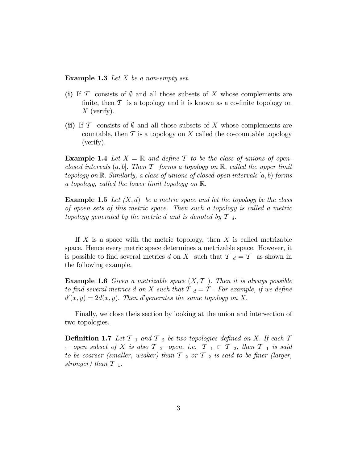**Example 1.3** Let X be a non-empty set.

- (i) If T consists of  $\emptyset$  and all those subsets of X whose complements are finite, then  $\mathcal T$  is a topology and it is known as a co-finite topology on  $X$  (verify).
- (ii) If T consists of  $\emptyset$  and all those subsets of X whose complements are countable, then  $\mathcal T$  is a topology on X called the co-countable topology (verify).

**Example 1.4** Let  $X = \mathbb{R}$  and define T to be the class of unions of openclosed intervals  $(a, b]$ . Then  $\mathcal T$  forms a topology on  $\mathbb R$ , called the upper limit topology on  $\mathbb R$ . Similarly, a class of unions of closed-open intervals  $[a, b)$  forms a topology, called the lower limit topology on  $\mathbb{R}$ .

**Example 1.5** Let  $(X, d)$  be a metric space and let the topology be the class of opoen sets of this metric space. Then such a topology is called a metric topology generated by the metric d and is denoted by  $\mathcal{T}_d$ .

If  $X$  is a space with the metric topology, then  $X$  is called metrizable space. Hence every metric space determines a metrizable space. However, it is possible to find several metrics d on X such that  $T_d = T$  as shown in the following example.

**Example 1.6** Given a metrizable space  $(X, \mathcal{T})$ . Then it is always possible to find several metrics d on X such that  $T_d = T$ . For example, if we define  $d'(x,y) = 2d(x,y)$ . Then d'generates the same topology on X.

Finally, we close theis section by looking at the union and intersection of two topologies.

**Definition 1.7** Let  $T_1$  and  $T_2$  be two topologies defined on X. If each  $T$  $1$ -open subset of X is also  $\mathcal{T}$   $_2$ -open, i.e.  $\mathcal{T}$   $_1 \subset \mathcal{T}$   $_2$ , then  $\mathcal{T}$   $_1$  is said to be coarser (smaller, weaker) than  $T_2$  or  $T_2$  is said to be finer (larger, stronger) than  $\mathcal{T}_{1}$ .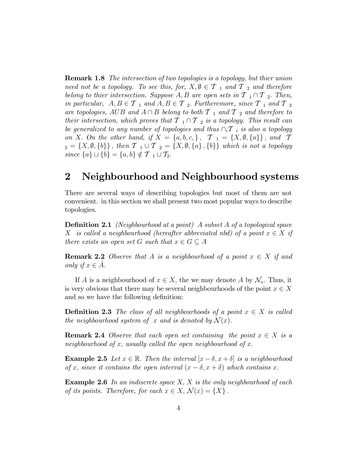**Remark 1.8** The intersection of two topologies is a topology, but thier union need not be a topology. To see this, for,  $X, \emptyset \in \mathcal{T}_1$  and  $\mathcal{T}_2$  and therefore belong to thier intersection. Suppose A, B are open sets in  $T_1 \cap T_2$ . Then, in particular,  $A, B \in \mathcal{T}_1$  and  $A, B \in \mathcal{T}_2$ . Furtheremore, since  $\mathcal{T}_1$  and  $\mathcal{T}_2$ are topologies, AUB and  $A \cap B$  belong to both  $T_{1}$  and  $T_{2}$  and therefore to their intersection, which proves that  $T_1 \cap T_2$  is a topology. This result can be generalized to any number of topologies and thus  $\cap_i \mathcal{T}_i$  is also a topology on X. On the other hand, if  $X = \{a, b, c, \}$ ,  $\mathcal{T}_1 = \{X, \emptyset, \{a\}\}\$ , and  $\mathcal{T}$  $Z_2 = \{X, \emptyset, \{b\}\}\,$ , then  $T_1 \cup T_2 = \{X, \emptyset, \{a\}\,$ ,  $\{b\}\}\,$  which is not a topology since  $\{a\} \cup \{b\} = \{a, b\} \notin \mathcal{T}_1 \cup \mathcal{T}_2$ .

## 2 Neighbourhood and Neighbourhood systems

There are several ways of describing topologies but most of them are not convenient. in this section we shall present two most popular ways to describe topologies.

**Definition 2.1** (Neighbourhood at a point) A subset  $A$  of a topological space X is called a neighbourhood (hereafter abbreviated nbd) of a point  $x \in X$  if there exists an open set G such that  $x \in G \subseteq A$ 

**Remark 2.2** Observe that A is a neighbourhood of a point  $x \in X$  if and only if  $x \in A$ .

If A is a neighbourhood of  $x \in X$ , the we may denote A by  $\mathcal{N}_x$ . Thus, it is very obvious that there may be several neighbourhoods of the point  $x \in X$ and so we have the following definition:

**Definition 2.3** The class of all neighbourhoods of a point  $x \in X$  is called the neighbourhood system of x and is denoted by  $\mathcal{N}(x)$ .

**Remark 2.4** Observe that each open set containing the point  $x \in X$  is a neighbourhood of x, usually called the open neighbourhood of x.

**Example 2.5** Let  $x \in \mathbb{R}$ . Then the interval  $|x - \delta, x + \delta|$  is a neighbourhood of x, since it contains the open interval  $(x - \delta, x + \delta)$  which contains x.

**Example 2.6** In an indiscrete space  $X$ ,  $X$  is the only neighbourhood of each of its points. Therefore, for each  $x \in X$ ,  $\mathcal{N}(x) = \{X\}$ .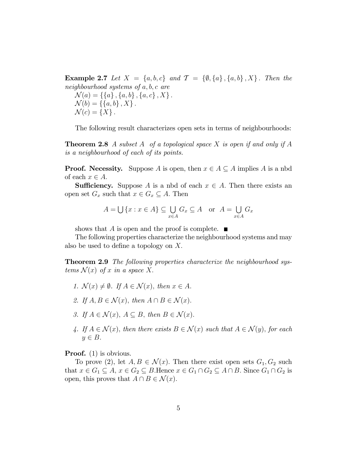**Example 2.7** Let  $X = \{a, b, c\}$  and  $\mathcal{T} = \{\emptyset, \{a\}, \{a, b\}, X\}$ . Then the neighbourhood systems of  $a, b, c$  are  $\mathcal{N}(a) = \{\{a\}, \{a, b\}, \{a, c\}, X\}.$ 

 $\mathcal{N}(b) = \{\{a, b\}, X\}.$  $\mathcal{N}(c) = \{X\}.$ 

The following result characterizes open sets in terms of neighbourhoods:

**Theorem 2.8** A subset A of a topological space X is open if and only if A is a neighbourhood of each of its points.

**Proof.** Necessity. Suppose A is open, then  $x \in A \subseteq A$  implies A is a nbd of each  $x \in A$ .

**Sufficiency.** Suppose A is a nbd of each  $x \in A$ . Then there exists an open set  $G_x$  such that  $x \in G_x \subseteq A$ . Then

$$
A = \bigcup \{x : x \in A\} \subseteq \bigcup_{x \in A} G_x \subseteq A \quad \text{or} \quad A = \bigcup_{x \in A} G_x
$$

shows that A is open and the proof is complete.  $\blacksquare$ 

The following properties characterize the neighbourhood systems and may also be used to define a topology on  $X$ .

Theorem 2.9 The following properties characterize the neighbourhood systems  $\mathcal{N}(x)$  of x in a space X.

- 1.  $\mathcal{N}(x) \neq \emptyset$ . If  $A \in \mathcal{N}(x)$ , then  $x \in A$ .
- 2. If  $A, B \in \mathcal{N}(x)$ , then  $A \cap B \in \mathcal{N}(x)$ .
- 3. If  $A \in \mathcal{N}(x)$ ,  $A \subseteq B$ , then  $B \in \mathcal{N}(x)$ .
- 4. If  $A \in \mathcal{N}(x)$ , then there exists  $B \in \mathcal{N}(x)$  such that  $A \in \mathcal{N}(y)$ , for each  $y \in B$ .

**Proof.** (1) is obvious.

To prove (2), let  $A, B \in \mathcal{N}(x)$ . Then there exist open sets  $G_1, G_2$  such that  $x \in G_1 \subseteq A$ ,  $x \in G_2 \subseteq B$ . Hence  $x \in G_1 \cap G_2 \subseteq A \cap B$ . Since  $G_1 \cap G_2$  is open, this proves that  $A \cap B \in \mathcal{N}(x)$ .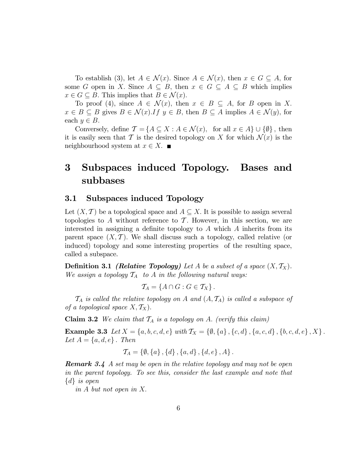To establish (3), let  $A \in \mathcal{N}(x)$ . Since  $A \in \mathcal{N}(x)$ , then  $x \in G \subseteq A$ , for some G open in X. Since  $A \subseteq B$ , then  $x \in G \subseteq A \subseteq B$  which implies  $x \in G \subseteq B$ . This implies that  $B \in \mathcal{N}(x)$ .

To proof (4), since  $A \in \mathcal{N}(x)$ , then  $x \in B \subseteq A$ , for B open in X.  $x \in B \subseteq B$  gives  $B \in \mathcal{N}(x)$ . If  $y \in B$ , then  $B \subseteq A$  implies  $A \in \mathcal{N}(y)$ , for each  $y \in B$ .

Conversely, define  $\mathcal{T} = \{A \subseteq X : A \in \mathcal{N}(x), \text{ for all } x \in A\} \cup \{\emptyset\},\$ it is easily seen that T is the desired topology on X for which  $\mathcal{N}(x)$  is the neighbourhood system at  $x \in X$ .

# 3 Subspaces induced Topology. Bases and subbases

### 3.1 Subspaces induced Topology

Let  $(X, \mathcal{T})$  be a topological space and  $A \subseteq X$ . It is possible to assign several topologies to A without reference to  $\mathcal T$ . However, in this section, we are interested in assigning a definite topology to  $A$  which  $A$  inherits from its parent space  $(X, \mathcal{T})$ . We shall discuss such a topology, called relative (or induced) topology and some interesting properties of the resulting space, called a subspace.

**Definition 3.1** (*Relative Topology*) Let A be a subset of a space  $(X, \mathcal{T}_X)$ . We assign a topology  $\mathcal{T}_A$  to A in the following natural ways:

$$
\mathcal{T}_A = \{A \cap G : G \in \mathcal{T}_X\}.
$$

 $\mathcal{T}_A$  is called the relative topology on A and  $(A, \mathcal{T}_A)$  is called a subspace of of a topological space  $X, \mathcal{T}_X$ ).

Claim 3.2 We claim that  $T_A$  is a topology on A. (verify this claim)

Example 3.3 Let  $X = \{a, b, c, d, e\}$  with  $\mathcal{T}_X = \{\emptyset, \{a\}, \{c, d\}, \{a, c, d\}, \{b, c, d, e\}, X\}$ . Let  $A = \{a, d, e\}$ . Then

$$
\mathcal{T}_A = \{\emptyset, \{a\}, \{d\}, \{a, d\}, \{d, e\}, A\}.
$$

**Remark 3.4** A set may be open in the relative topology and may not be open in the parent topology. To see this, consider the last example and note that  $\{d\}$  is open

in  $A$  but not open in  $X$ .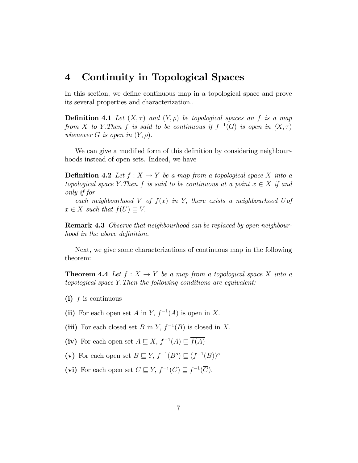## 4 Continuity in Topological Spaces

In this section, we define continuous map in a topological space and prove its several properties and characterization..

**Definition 4.1** Let  $(X, \tau)$  and  $(Y, \rho)$  be topological spaces an f is a map from X to Y. Then f is said to be continuous if  $f^{-1}(G)$  is open in  $(X, \tau)$ whenever G is open in  $(Y, \rho)$ .

We can give a modified form of this definition by considering neighbourhoods instead of open sets. Indeed, we have

**Definition 4.2** Let  $f : X \to Y$  be a map from a topological space X into a topological space Y. Then f is said to be continuous at a point  $x \in X$  if and only if for

each neighbourhood V of  $f(x)$  in Y, there exists a neighbourhood U of  $x \in X$  such that  $f(U) \sqsubset V$ .

**Remark 4.3** Observe that neighbourhood can be replaced by open neighbourhood in the above definition.

Next, we give some characterizations of continuous map in the following theorem:

**Theorem 4.4** Let  $f : X \to Y$  be a map from a topological space X into a topological space Y:Then the following conditions are equivalent:

- (i)  $f$  is continuous
- (ii) For each open set A in Y,  $f^{-1}(A)$  is open in X.
- (iii) For each closed set B in Y,  $f^{-1}(B)$  is closed in X.
- (iv) For each open set  $A \sqsubseteq X$ ,  $f^{-1}(\overline{A}) \sqsubseteq f(A)$
- (v) For each open set  $B \sqsubseteq Y$ ,  $f^{-1}(B^o) \sqsubseteq (f^{-1}(B))^o$
- (vi) For each open set  $C \sqsubseteq Y$ ,  $\overline{f^{-1}(C)} \sqsubseteq f^{-1}(\overline{C})$ .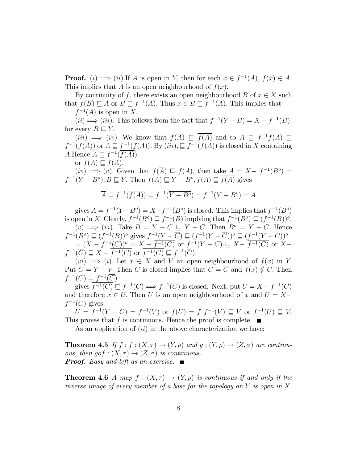**Proof.** (i)  $\implies$  (ii). If A is open in Y, then for each  $x \in f^{-1}(A)$ ,  $f(x) \in A$ . This implies that A is an open neighbourhood of  $f(x)$ .

By continuity of f, there exists an open neighbourhood B of  $x \in X$  such that  $f(B) \sqsubseteq A$  or  $B \sqsubseteq f^{-1}(A)$ . Thus  $x \in B \sqsubseteq f^{-1}(A)$ . This implies that

 $f^{-1}(A)$  is open in X.

 $(ii) \Longrightarrow (iii)$ . This follows from the fact that  $f^{-1}(Y-B) = X - f^{-1}(B)$ , for every  $B \sqsubset Y$ .

 $(iii) \implies (iv)$ . We know that  $f(A) \sqsubseteq \overline{f(A)}$  and so  $A \sqsubseteq f^{-1}f(A) \sqsubseteq$  $f^{-1}(\overline{f(A)})$  or  $A \sqsubseteq f^{-1}(\overline{f(A)})$ . By  $(iii)$ ,  $\sqsubseteq f^{-1}(\overline{f(A)})$  is closed in X containing A.Hence  $\overline{A} \sqsubseteq f^{-1}(\overline{f(A)})$ or  $f(\overline{A}) \sqsubset \overline{f(A)}$ .

 $(iv) \implies (v)$ . Given that  $f(\overline{A}) \sqsubseteq f(A)$ , then take  $\overline{A} = X - f^{-1}(B^o) =$  $f^{-1}(Y - B^o), B \sqsubseteq Y$ . Then  $f(A) \sqsubseteq Y - B^o, f(\overline{A}) \sqsubseteq \overline{f(A)}$  gives

$$
\overline{A} \sqsubseteq f^{-1}(\overline{f(A)}) \sqsubseteq f^{-1}(\overline{Y - B^o}) = f^{-1}(Y - B^o) = A
$$

gives  $A = f^{-1}(Y - B^o) = X - f^{-1}(B^o)$  is closed. This implies that  $f^{-1}(B^o)$ is open in X. Clearly,  $f^{-1}(B^o) \sqsubseteq f^{-1}(B)$  implying that  $f^{-1}(B^o) \sqsubseteq (\underbrace{f^{-1}(B)})^o$ .  $(v) \implies (vi)$ . Take  $B = Y - \overline{C} \subseteq Y - \overline{C}$ . Then  $B^o = Y - \overline{C}$ . Hence  $f^{-1}(B^o) \sqsubseteq (f^{-1}(B))^o$  gives  $f^{-1}(Y - \overline{C}) \sqsubseteq (f^{-1}(Y - \overline{C}))^o \sqsubseteq (f^{-1}(Y - C))^o$  $=\frac{(X-f^{-1}(C))^{\circ}}{\sqrt{(\sum_{i=1}^{N}G_i)^{\circ}}} \times \frac{1}{\sqrt{(\sum_{i=1}^{N}G_i)^{\circ}}} \text{ or } \frac{f^{-1}(Y-\overline{C})}{\sqrt{(\sum_{i=1}^{N}G_i)^{\circ}}} \subseteq X-\frac{f^{-1}(C)}{f^{-1}(C)} \text{ or } X-\frac{1}{\sqrt{(\sum_{i=1}^{N}G_i)^{\circ}}}$  $f^{-1}(\overline{C}) \sqsubseteq X - \overline{f^{-1}(C)}$  or  $\overline{f^{-1}(C)} \sqsubseteq f^{-1}(\overline{C})$ .

 $(vi) \implies (i)$ . Let  $x \in X$  and V an open neighbourhood of  $f(x)$  in Y. Put  $C = Y - V$ . Then C is closed implies that  $C = \overline{C}$  and  $f(x) \notin C$ . Then  $\overline{f^{-1}(C)} \sqsubseteq f^{-1}(\overline{C})$ 

gives  $\overline{f^{-1}(C)} \sqsubseteq f^{-1}(C) \Longrightarrow f^{-1}(C)$  is closed. Next, put  $U = X - f^{-1}(C)$ and therefore  $x \in U$ . Then U is an open neighbourhood of x and  $U = X$  $f^{-1}(C)$  gives

 $U = f^{-1}(Y - C) = f^{-1}(V)$  or  $f(U) = f f^{-1}(V) \sqsubseteq V$  or  $f^{-1}(U) \sqsubseteq V$ . This proves that f is continuous. Hence the proof is complete.  $\blacksquare$ 

As an application of  $(ii)$  in the above characterization we have:

**Theorem 4.5** If  $f : f : (X, \tau) \to (Y, \rho)$  and  $q : (Y, \rho) \to (Z, \sigma)$  are continuous, then  $gof : (X, \tau) \to (Z, \sigma)$  is continuous. **Proof.** Easy and left as an exercise.  $\blacksquare$ 

**Theorem 4.6** A map  $f : (X, \tau) \to (Y, \rho)$  is continuous if and only if the inverse image of every member of a base for the topology on  $Y$  is open in X.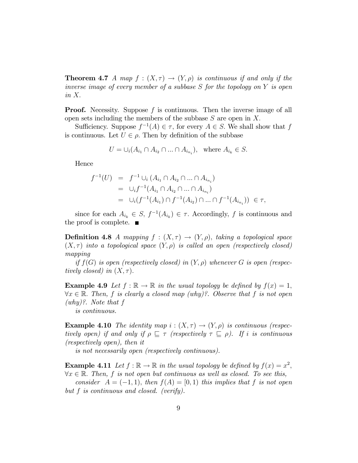**Theorem 4.7** A map  $f : (X, \tau) \to (Y, \rho)$  is continuous if and only if the inverse image of every member of a subbase  $S$  for the topology on  $Y$  is open in  $X$ .

**Proof.** Necessity. Suppose f is continuous. Then the inverse image of all open sets including the members of the subbase  $S$  are open in  $X$ .

Sufficiency. Suppose  $f^{-1}(A) \in \tau$ , for every  $A \in S$ . We shall show that f is continuous. Let  $U \in \rho$ . Then by definition of the subbase

$$
U = \bigcup_i (A_{i_1} \cap A_{i_2} \cap \dots \cap A_{i_{n_i}}), \text{ where } A_{i_k} \in S.
$$

Hence

$$
f^{-1}(U) = f^{-1} \cup_i (A_{i_1} \cap A_{i_2} \cap ... \cap A_{i_{n_i}})
$$
  
=  $\cup_i f^{-1}(A_{i_1} \cap A_{i_2} \cap ... \cap A_{i_{n_i}})$   
=  $\cup_i (f^{-1}(A_{i_1}) \cap f^{-1}(A_{i_2}) \cap ... \cap f^{-1}(A_{i_{n_i}})) \in \tau$ ,

since for each  $A_{i_k} \in S$ ,  $f^{-1}(A_{i_k}) \in \tau$ . Accordingly, f is continuous and the proof is complete.

**Definition 4.8** A mapping  $f : (X, \tau) \rightarrow (Y, \rho)$ , taking a topological space  $(X, \tau)$  into a topological space  $(Y, \rho)$  is called an open (respectively closed) mapping

if  $f(G)$  is open (respectively closed) in  $(Y, \rho)$  whenever G is open (respectively closed) in  $(X, \tau)$ .

**Example 4.9** Let  $f : \mathbb{R} \to \mathbb{R}$  in the usual topology be defined by  $f(x) = 1$ ,  $\forall x \in \mathbb{R}$ . Then, f is clearly a closed map (why)?. Observe that f is not open (why)?. Note that f

is continuous.

**Example 4.10** The identity map  $i : (X, \tau) \rightarrow (Y, \rho)$  is continuous (respectively open) if and only if  $\rho \subseteq \tau$  (respectively  $\tau \subseteq \rho$ ). If i is continuous (respectively open), then it

is not necessarily open (respectively continuous).

**Example 4.11** Let  $f : \mathbb{R} \to \mathbb{R}$  in the usual topology be defined by  $f(x) = x^2$ ,  $\forall x \in \mathbb{R}$ . Then, f is not open but continuous as well as closed. To see this,

consider  $A = (-1, 1)$ , then  $f(A) = [0, 1)$  this implies that f is not open but f is continuous and closed. (verify).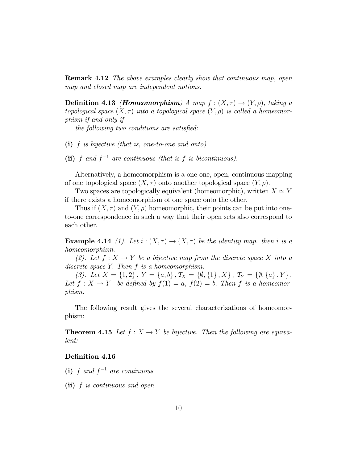**Remark 4.12** The above examples clearly show that continuous map, open map and closed map are independent notions.

**Definition 4.13** *(Homeomorphism)* A map  $f : (X, \tau) \rightarrow (Y, \rho)$ , taking a topological space  $(X, \tau)$  into a topological space  $(Y, \rho)$  is called a homeomorphism if and only if

the following two conditions are satisfied:

(i) f is bijective (that is, one-to-one and onto)

(ii) f and  $f^{-1}$  are continuous (that is f is bicontinuous).

Alternatively, a homeomorphism is a one-one, open, continuous mapping of one topological space  $(X, \tau)$  onto another topological space  $(Y, \rho)$ .

Two spaces are topologically equivalent (homeomorphic), written  $X \simeq Y$ if there exists a homeomorphism of one space onto the other.

Thus if  $(X, \tau)$  and  $(Y, \rho)$  homeomorphic, their points can be put into oneto-one correspondence in such a way that their open sets also correspond to each other.

**Example 4.14** (1). Let  $i:(X,\tau) \to (X,\tau)$  be the identity map. then i is a homeomorphism.

(2). Let  $f: X \to Y$  be a bijective map from the discrete space X into a discrete space Y. Then f is a homeomorphism.

(3). Let  $X = \{1,2\}, Y = \{a,b\}, T_X = \{\emptyset, \{1\}, X\}, T_Y = \{\emptyset, \{a\}, Y\}.$ Let  $f: X \to Y$  be defined by  $f(1) = a$ ,  $f(2) = b$ . Then f is a homeomorphism.

The following result gives the several characterizations of homeomorphism:

**Theorem 4.15** Let  $f : X \to Y$  be bijective. Then the following are equivalent:

### Definition 4.16

- (i) f and  $f^{-1}$  are continuous
- (ii) f is continuous and open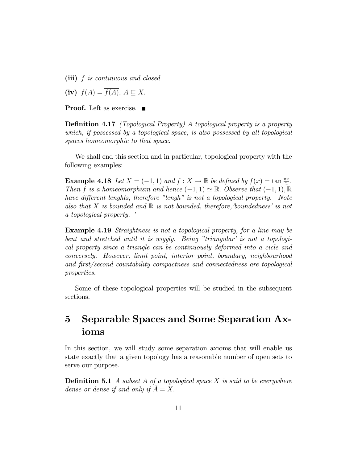(iii) f is continuous and closed

(iv)  $f(\overline{A}) = \overline{f(A)}, A \sqsubset X.$ 

**Proof.** Left as exercise. ■

**Definition 4.17** (Topological Property) A topological property is a property which, if possessed by a topological space, is also possessed by all topological spaces homeomorphic to that space.

We shall end this section and in particular, topological property with the following examples:

**Example 4.18** Let  $X = (-1, 1)$  and  $f : X \to \mathbb{R}$  be defined by  $f(x) = \tan \frac{\pi x}{2}$ . Then f is a homeomorphism and hence  $(-1, 1) \simeq \mathbb{R}$ . Observe that  $(-1, 1), \mathbb{R}$ have different lenghts, therefore "lengh" is not a topological property. Note also that X is bounded and  $\mathbb R$  is not bounded, therefore, 'boundedness' is not a topological property.

Example 4.19 Straightness is not a topological property, for a line may be bent and stretched until it is wiggly. Being "triangular' is not a topological property since a triangle can be continuously deformed into a cicle and conversely. However, limit point, interior point, boundary, neighbourhood and first/second countability compactness and connectedness are topological properties.

Some of these topological properties will be studied in the subsequent sections.

# 5 Separable Spaces and Some Separation Axioms

In this section, we will study some separation axioms that will enable us state exactly that a given topology has a reasonable number of open sets to serve our purpose.

**Definition 5.1** A subset A of a topological space X is said to be everywhere dense or dense if and only if  $\overline{A} = X$ .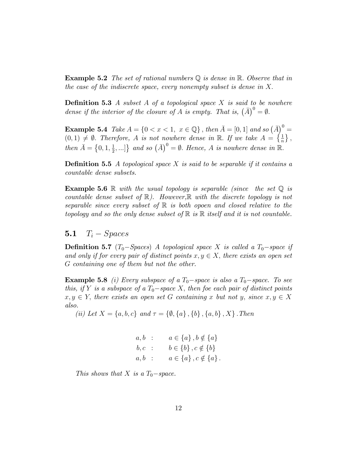**Example 5.2** The set of rational numbers  $\mathbb Q$  is dense in  $\mathbb R$ . Observe that in the case of the indiscrete space, every nonempty subset is dense in  $X$ .

**Definition 5.3** A subset A of a topological space X is said to be nowhere dense if the interior of the closure of A is empty. That is,  $(\bar{A})^0 = \emptyset$ .

**Example 5.4** Take  $A = \{0 < x < 1, x \in \mathbb{Q}\}\$ , then  $\overline{A} = [0, 1]$  and so  $(\overline{A})^0 =$  $(0,1) \neq \emptyset$ . Therefore, A is not nowhere dense in R. If we take  $A = \{\frac{1}{n}\},\$ then  $\bar{A} = \{0, 1, \frac{1}{2}\}$  $\{\frac{1}{2}, ...\}$  and so  $(\overline{A})^0 = \emptyset$ . Hence, A is nowhere dense in  $\mathbb{R}$ .

**Definition 5.5** A topological space  $X$  is said to be separable if it contains a countable dense subsets.

**Example 5.6** R with the usual topology is separable (since the set  $\mathbb Q$  is countable dense subset of  $\mathbb{R}$ ). However,  $\mathbb{R}$  with the discrete topology is not separable since every subset of  $\mathbb R$  is both opoen and closed relative to the topology and so the only dense subset of  $\mathbb R$  is  $\mathbb R$  itself and it is not countable.

## 5.1  $T_i - Spaces$

**Definition 5.7** (T<sub>0</sub>-Spaces) A topological space X is called a  $T_0$ -space if and only if for every pair of distinct points  $x, y \in X$ , there exists an open set G containing one of them but not the other.

**Example 5.8** (i) Every subspace of a  $T_0$ -space is also a  $T_0$ -space. To see this, if Y is a subspace of a  $T_0$ -space X, then foe each pair of distinct points  $x, y \in Y$ , there exists an open set G containing x but not y, since  $x, y \in X$ also.

(ii) Let  $X = \{a, b, c\}$  and  $\tau = \{\emptyset, \{a\}, \{b\}, \{a, b\}, X\}$ . Then

$$
a, b : a \in \{a\}, b \notin \{a\} b, c : b \in \{b\}, c \notin \{b\} a, b : a \in \{a\}, c \notin \{a\}.
$$

This shows that X is a  $T_0$ -space.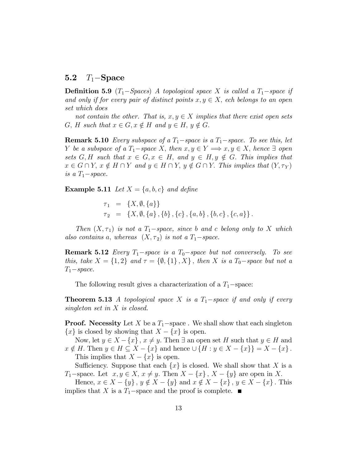## 5.2  $T_1$ -Space

**Definition 5.9** (T<sub>1</sub>-Spaces) A topological space X is called a  $T_1$ -space if and only if for every pair of distinct points  $x, y \in X$ , ech belongs to an open set which does

not contain the other. That is,  $x, y \in X$  implies that there exist open sets  $G, H$  such that  $x \in G, x \notin H$  and  $y \in H, y \notin G$ .

**Remark 5.10** Every subspace of a  $T_1$ -space is a  $T_1$ -space. To see this, let Y be a subspace of a  $T_1$ -space X; then  $x, y \in Y \implies x, y \in X$ ; hence  $\exists$  open sets G, H such that  $x \in G$ ,  $x \in H$ , and  $y \in H$ ,  $y \notin G$ . This implies that  $x \in G \cap Y$ ,  $x \notin H \cap Y$  and  $y \in H \cap Y$ ,  $y \notin G \cap Y$ . This implies that  $(Y, \tau_Y)$ is a  $T_1$ -space.

**Example 5.11** Let  $X = \{a, b, c\}$  and define

 $\tau_1 = \{X, \emptyset, \{a\}\}\$  $\tau_2 = \{X, \emptyset, \{a\}, \{b\}, \{c\}, \{a,b\}, \{b,c\}, \{c,a\}\}.$ 

Then  $(X, \tau_1)$  is not a  $T_1$ -space, since b and c belong only to X which also contains a, whereas  $(X, \tau_2)$  is not a  $T_1$ -space.

**Remark 5.12** Every  $T_1$ -space is a  $T_0$ -space but not conversely. To see this, take  $X = \{1,2\}$  and  $\tau = \{\emptyset, \{1\}, X\}$ , then X is a  $T_0$ -space but not a  $T_1$ -space.

The following result gives a characterization of a  $T_1$ -space:

**Theorem 5.13** A topological space X is a  $T_1$ -space if and only if every singleton set in X is closed.

**Proof.** Necessity Let X be a  $T_1$ -space . We shall show that each singleton  ${x}$  is closed by showing that  $X - \{x\}$  is open.

Now, let  $y \in X - \{x\}$ ,  $x \neq y$ . Then  $\exists$  an open set H such that  $y \in H$  and  $x \notin H$ . Then  $y \in H \subseteq X - \{x\}$  and hence  $\cup \{H : y \in X - \{x\} = X - \{x\}$ . This implies that  $X - \{x\}$  is open.

Sufficiency. Suppose that each  $\{x\}$  is closed. We shall show that X is a  $T_1$ -space. Let  $x, y \in X$ ,  $x \neq y$ . Then  $X - \{x\}$ ,  $X - \{y\}$  are open in X.

Hence,  $x \in X - \{y\}$ ,  $y \notin X - \{y\}$  and  $x \notin X - \{x\}$ ,  $y \in X - \{x\}$ . This implies that X is a  $T_1$ -space and the proof is complete.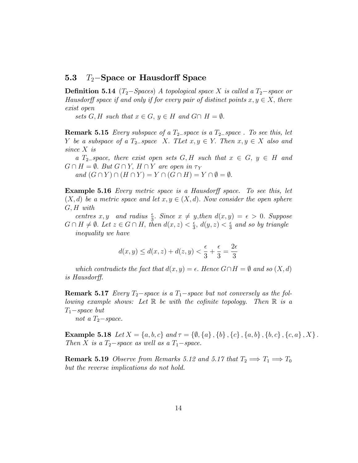### 5.3  $T_2$ -Space or Hausdorff Space

**Definition 5.14** ( $T_2$ -Spaces) A topological space X is called a  $T_2$ -space or Hausdorff space if and only if for every pair of distinct points  $x, y \in X$ , there exist open

sets  $G, H$  such that  $x \in G, y \in H$  and  $G \cap H = \emptyset$ .

**Remark 5.15** Every subspace of a  $T_2$ -space is a  $T_2$ -space. To see this, let Y be a subspace of a  $T_2$ -space X. TLet  $x, y \in Y$ . Then  $x, y \in X$  also and since X is

a  $T_{2}$ -space, there exist open sets G, H such that  $x \in G$ ,  $y \in H$  and  $G \cap H = \emptyset$ . But  $G \cap Y$ ,  $H \cap Y$  are open in  $\tau_Y$ 

and  $(G \cap Y) \cap (H \cap Y) = Y \cap (G \cap H) = Y \cap \emptyset = \emptyset$ .

**Example 5.16** Every metric space is a Hausdorff space. To see this, let  $(X, d)$  be a metric space and let  $x, y \in (X, d)$ . Now consider the open sphere  $G, H$  with

centres  $x, y$  and radius  $\frac{\epsilon}{3}$ . Since  $x \neq y$ , then  $d(x, y) = \epsilon > 0$ . Suppose  $G \cap H \neq \emptyset$ . Let  $z \in G \cap H$ , then  $d(x, z) < \frac{\epsilon}{3}$  $\frac{\epsilon}{3}$ ,  $d(y, z) < \frac{\epsilon}{3}$  $\frac{\epsilon}{3}$  and so by triangle inequality we have

$$
d(x,y) \le d(x,z) + d(z,y) < \frac{\epsilon}{3} + \frac{\epsilon}{3} = \frac{2\epsilon}{3}
$$

which contradicts the fact that  $d(x, y) = \epsilon$ . Hence  $G \cap H = \emptyset$  and so  $(X, d)$ is Hausdorff.

**Remark 5.17** Every  $T_2$ -space is a  $T_1$ -space but not conversely as the following example shows: Let  $\mathbb R$  be with the cofinite topology. Then  $\mathbb R$  is a  $T_1$ -space but

not a  $T_2$ -space.

Example 5.18 Let  $X = \{a, b, c\}$  and  $\tau = \{\emptyset, \{a\}, \{b\}, \{c\}, \{a, b\}, \{b, c\}, \{c, a\}, X\}$ . Then X is a  $T_2$ -space as well as a  $T_1$ -space.

**Remark 5.19** Observe from Remarks 5.12 and 5.17 that  $T_2 \implies T_1 \implies T_0$ but the reverse implications do not hold.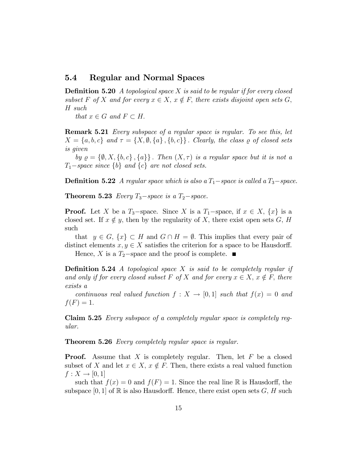### 5.4 Regular and Normal Spaces

**Definition 5.20** A topological space X is said to be regular if for every closed subset F of X and for every  $x \in X$ ,  $x \notin F$ , there exists disjoint open sets G, H such

that  $x \in G$  and  $F \subset H$ .

**Remark 5.21** Every subspace of a regular space is regular. To see this, let  $X = \{a, b, c\}$  and  $\tau = \{X, \emptyset, \{a\}, \{b, c\}\}\$ . Clearly, the class  $\varrho$  of closed sets is given

by  $\rho = \{\emptyset, X, \{b, c\}, \{a\}\}\.$  Then  $(X, \tau)$  is a regular space but it is not a  $T_1$ -space since  $\{b\}$  and  $\{c\}$  are not closed sets.

**Definition 5.22** A regular space which is also a  $T_1$ -space is called a  $T_3$ -space.

**Theorem 5.23** Every  $T_3$ -space is a  $T_2$ -space.

**Proof.** Let X be a  $T_3$ -space. Since X is a  $T_1$ -space, if  $x \in X$ ,  $\{x\}$  is a closed set. If  $x \notin y$ , then by the regularity of X, there exist open sets G, H such

that  $y \in G$ ,  $\{x\} \subset H$  and  $G \cap H = \emptyset$ . This implies that every pair of distinct elements  $x, y \in X$  satisfies the criterion for a space to be Hausdorff. Hence, X is a  $T_2$ -space and the proof is complete.

**Definition 5.24** A topological space X is said to be completely regular if and only if for every closed subset F of X and for every  $x \in X$ ,  $x \notin F$ , there exists a

continuous real valued function  $f : X \to [0, 1]$  such that  $f(x) = 0$  and  $f(F) = 1.$ 

Claim 5.25 Every subspace of a completely regular space is completely regular.

Theorem 5.26 *Every completely regular space is regular.* 

**Proof.** Assume that X is completely regular. Then, let  $F$  be a closed subset of X and let  $x \in X$ ,  $x \notin F$ . Then, there exists a real valued function  $f: X \to [0, 1]$ 

such that  $f(x) = 0$  and  $f(F) = 1$ . Since the real line R is Hausdorff, the subspace [0, 1] of  $\mathbb{R}$  is also Hausdorff. Hence, there exist open sets G, H such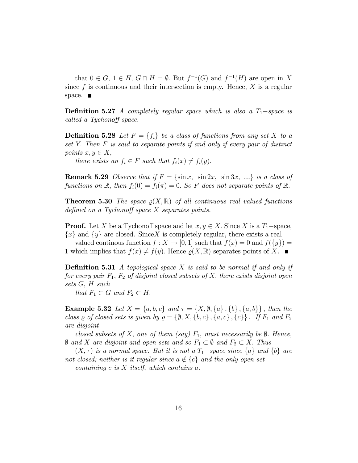that  $0 \in G$ ,  $1 \in H$ ,  $G \cap H = \emptyset$ . But  $f^{-1}(G)$  and  $f^{-1}(H)$  are open in X since  $f$  is continuous and their intersection is empty. Hence,  $X$  is a regular space.  $\blacksquare$ 

**Definition 5.27** A completely regular space which is also a  $T_1$ -space is called a Tychonoff space.

**Definition 5.28** Let  $F = \{f_i\}$  be a class of functions from any set X to a set Y: Then F is said to separate points if and only if every pair of distinct points  $x, y \in X$ ,

there exists an  $f_i \in F$  such that  $f_i(x) \neq f_i(y)$ .

**Remark 5.29** Observe that if  $F = \{\sin x, \sin 2x, \sin 3x, ...\}$  is a class of functions on  $\mathbb{R}$ , then  $f_i(0) = f_i(\pi) = 0$ . So F does not separate points of  $\mathbb{R}$ .

**Theorem 5.30** The space  $\rho(X,\mathbb{R})$  of all continuous real valued functions defined on a Tychonoff space  $X$  separates points.

**Proof.** Let X be a Tychonoff space and let  $x, y \in X$ . Since X is a  $T_1$ -space,  ${x}$  and  ${y}$  are closed. Since X is completely regular, there exists a real

valued continous function  $f: X \to [0, 1]$  such that  $f(x) = 0$  and  $f({y}) =$ 1 which implies that  $f(x) \neq f(y)$ . Hence  $\rho(X, \mathbb{R})$  separates points of X.

**Definition 5.31** A topological space X is said to be normal if and only if for every pair  $F_1$ ,  $F_2$  of disjoint closed subsets of X, there exists disjoint open sets G; H such

that  $F_1 \subset G$  and  $F_2 \subset H$ .

**Example 5.32** Let  $X = \{a, b, c\}$  and  $\tau = \{X, \emptyset, \{a\}, \{b\}, \{a, b\}\}\$ , then the class  $\varrho$  of closed sets is given by  $\varrho = {\emptyset, X, \{b, c\}, \{a, c\}, \{c\}\}\.$  If  $F_1$  and  $F_2$ are disjoint

closed subsets of X, one of them (say)  $F_1$ , must necessarily be  $\emptyset$ . Hence,  $\emptyset$  and X are disjoint and open sets and so  $F_1 \subset \emptyset$  and  $F_2 \subset X$ . Thus

 $(X, \tau)$  is a normal space. But it is not a  $T_1$ -space since  $\{a\}$  and  $\{b\}$  are not closed; neither is it regular since  $a \notin \{c\}$  and the only open set

containing c is  $X$  itself, which contains a.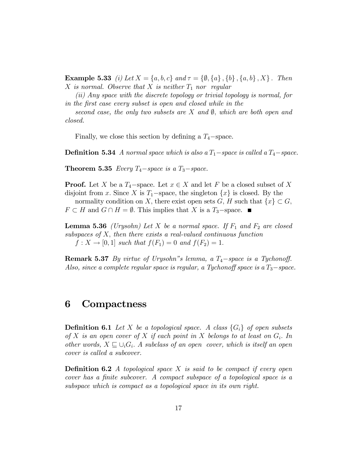**Example 5.33** (i) Let  $X = \{a, b, c\}$  and  $\tau = \{\emptyset, \{a\}, \{b\}, \{a, b\}, X\}$ . Then X is normal. Observe that X is neither  $T_1$  nor regular

(ii) Any space with the discrete topology or trivial topology is normal, for in the Örst case every subset is open and closed while in the

second case, the only two subsets are X and  $\emptyset$ , which are both open and closed.

Finally, we close this section by defining a  $T_4$ -space.

**Definition 5.34** A normal space which is also a  $T_1$ -space is called a  $T_4$ -space.

**Theorem 5.35** Every  $T_4$ -space is a  $T_3$ -space.

**Proof.** Let X be a  $T_4$ -space. Let  $x \in X$  and let F be a closed subset of X disjoint from x. Since X is  $T_1$ -space, the singleton  $\{x\}$  is closed. By the normality condition on X, there exist open sets G, H such that  $\{x\} \subset G$ ,  $F \subset H$  and  $G \cap H = \emptyset$ . This implies that X is a  $T_3$ -space.

**Lemma 5.36** (Urysohn) Let X be a normal space. If  $F_1$  and  $F_2$  are closed subspaces of  $X$ , then there exists a real-valued continuous function  $f: X \to [0, 1]$  such that  $f(F_1) = 0$  and  $f(F_2) = 1$ .

**Remark 5.37** By virtue of Urysohn"s lemma, a  $T_4$ -space is a Tychonoff. Also, since a complete regular space is regular, a Tychonoff space is a  $T_3$ -space.

## 6 Compactness

**Definition 6.1** Let X be a topological space. A class  $\{G_i\}$  of open subsets of X is an open cover of X if each point in X belongs to at least on  $G_i$ . In other words,  $X \sqsubseteq \bigcup_i G_i$ . A subclass of an open cover, which is itself an open cover is called a subcover.

**Definition 6.2** A topological space X is said to be compact if every open cover has a finite subcover. A compact subspace of a topological space is a subspace which is compact as a topological space in its own right.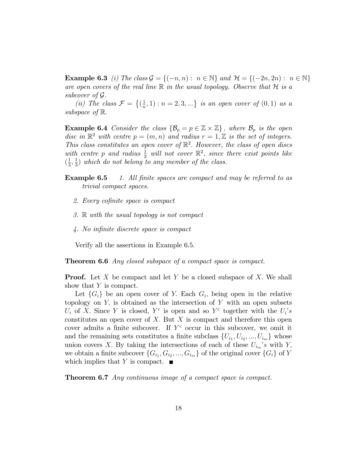**Example 6.3** (i) The class  $\mathcal{G} = \{(-n, n) : n \in \mathbb{N}\}\$  and  $\mathcal{H} = \{(-2n, 2n) : n \in \mathbb{N}\}\$ are open covers of the real line  $\mathbb R$  in the usual topology. Observe that  $\mathcal H$  is a subcover of G:

(*ii*) The class  $\mathcal{F} = \left\{ \left( \frac{1}{n} \right)$  $(\frac{1}{n}, 1) : n = 2, 3, ...$  is an open cover of  $(0, 1)$  as a subspace of  $\mathbb{R}$ .

**Example 6.4** Consider the class  $\{\mathcal{B}_p = p \in \mathbb{Z} \times \mathbb{Z}\}\$ , where  $\mathcal{B}_p$  is the open disc in  $\mathbb{R}^2$  with centre  $p = (m, n)$  and radius  $r = 1, \mathbb{Z}$  is the set of integers. This class constitutes an open cover of  $\mathbb{R}^2$ . However, the class of open discs with centre p and radius  $\frac{1}{3}$  will not cover  $\mathbb{R}^2$ , since there exist points like  $\left(\frac{1}{3}\right)$  $\frac{1}{3}, \frac{1}{3}$  $\frac{1}{3}$ ) which do not belong to any member of the class.

- **Example 6.5** 1. All finite spaces are compact and may be referred to as trivial compact spaces.
	- 2. Every cofinite space is compact
	- 3. R with the usual topology is not compact
	- 4. No infinite discrete space is compact

Verify all the assertions in Example 6.5.

**Theorem 6.6** Any closed subspace of a compact space is compact.

**Proof.** Let X be compact and let Y be a closed subspace of X. We shall show that  $Y$  is compact.

Let  $\{G_i\}$  be an open cover of Y. Each  $G_i$ , being open in the relative topology on  $Y$ , is obtained as the intersection of  $Y$  with an open subsets  $U_i$  of X. Since Y is closed, Y<sup>c</sup> is open and so Y<sup>c</sup> together with the  $U_i$ 's constitutes an open cover of  $X$ . But  $X$  is compact and therefore this open cover admits a finite subcover. If  $Y^c$  occur in this subcover, we omit it and the remaining sets constitutes a finite subclass  $\{U_{i_1}, U_{i_2}, ..., U_{i_m}\}\)$  whose union covers X. By taking the intersections of each of these  $U_{i_m}$ 's with Y, we obtain a finite subcover  $\{G_{i_1}, G_{i_2}, ..., G_{i_m}\}$  of the original cover  $\{G_i\}$  of Y which implies that Y is compact.  $\blacksquare$ 

**Theorem 6.7** Any continuous image of a compact space is compact.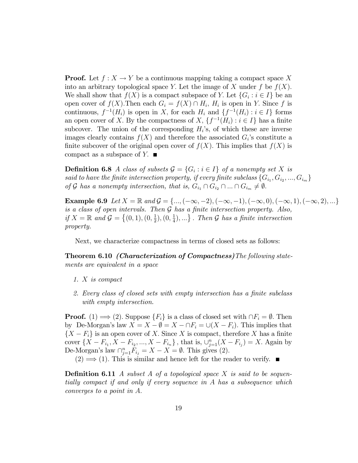**Proof.** Let  $f: X \to Y$  be a continuous mapping taking a compact space X into an arbitrary topological space Y. Let the image of X under f be  $f(X)$ . We shall show that  $f(X)$  is a compact subspace of Y. Let  $\{G_i : i \in I\}$  be an open cover of  $f(X)$ . Then each  $G_i = f(X) \cap H_i$ ,  $H_i$  is open in Y. Since f is continuous,  $f^{-1}(H_i)$  is open in X, for each  $H_i$  and  $\{f^{-1}(H_i) : i \in I\}$  forms an open cover of X. By the compactness of X,  $\{f^{-1}(H_i) : i \in I\}$  has a finite subcover. The union of the corresponding  $H_i$ 's, of which these are inverse images clearly contains  $f(X)$  and therefore the associated  $G_i$ 's constitute a finite subcover of the original open cover of  $f(X)$ . This implies that  $f(X)$  is compact as a subspace of  $Y$ .

**Definition 6.8** A class of subsets  $\mathcal{G} = \{G_i : i \in I\}$  of a nonempty set X is said to have the finite intersection property, if every finite subclass  $\{G_{i_1}, G_{i_2}, ..., G_{i_m}\}$ of G has a nonempty intersection, that is,  $G_{i_1} \cap G_{i_2} \cap ... \cap G_{i_m} \neq \emptyset$ .

**Example 6.9** Let  $X = \mathbb{R}$  and  $\mathcal{G} = \{..., (-\infty, -2), (-\infty, -1), (-\infty, 0), (-\infty, 1), (-\infty, 2), ...\}$ is a class of open intervals. Then  $\mathcal G$  has a finite intersection property. Also, if  $X = \mathbb{R}$  and  $\mathcal{G} = \{(0,1), (0, \frac{1}{2})\}$  $(\frac{1}{2}), (0, \frac{1}{4})$  $\{\frac{1}{4}\},\ldots\}$ . Then  $\mathcal G$  has a finite intersection property.

Next, we characterize compactness in terms of closed sets as follows:

Theorem 6.10 (Characterization of Compactness)The following statements are equivalent in a space

- 1. X is compact
- 2. Every class of closed sets with empty intersection has a finite subclass with empty intersection.

**Proof.** (1)  $\implies$  (2). Suppose  $\{F_i\}$  is a class of closed set with  $\cap F_i = \emptyset$ . Then by De-Morgan's law  $X = X - \emptyset = X - \cap F_i = \bigcup (X - F_i)$ . This implies that  $\{X - F_i\}$  is an open cover of X. Since X is compact, therefore X has a finite cover  $\{X - F_{i_1}, X - F_{i_2}, ..., X - F_{i_n}\}\$ , that is,  $\bigcup_{j=1}^n (X - F_{i_j}) = X$ . Again by De-Morgan's law  $\bigcap_{j=1}^{n}F_{i_j} = X - X = \emptyset$ . This gives (2).

 $(2) \implies (1)$ . This is similar and hence left for the reader to verify.

**Definition 6.11** A subset A of a topological space X is said to be sequentially compact if and only if every sequence in A has a subsequence which converges to a point in A: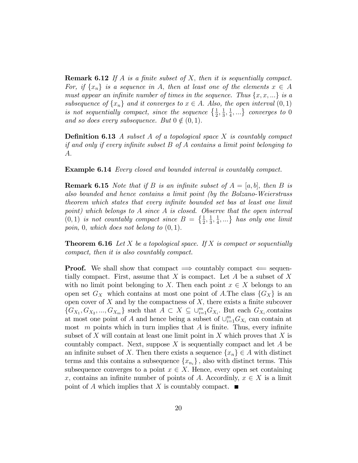**Remark 6.12** If A is a finite subset of X, then it is sequentially compact. For, if  $\{x_n\}$  is a sequence in A, then at least one of the elements  $x \in A$ must appear an infinite number of times in the sequence. Thus  $\{x, x, ...\}$  is a subsequence of  $\{x_n\}$  and it converges to  $x \in A$ . Also, the open interval  $(0, 1)$ is not sequentially compact, since the sequence  $\{\frac{1}{2},\frac{1}{3}\}$  $\frac{1}{3}, \frac{1}{4}$  $\left\{\frac{1}{4},\ldots\right\}$  converges to 0 and so does every subsequence. But  $0 \notin (0, 1)$ .

**Definition 6.13** A subset A of a topological space X is countably compact if and only if every infinite subset  $B$  of  $A$  contains a limit point belonging to A:

**Example 6.14** Every closed and bounded interval is countably compact.

**Remark 6.15** Note that if B is an infinite subset of  $A = [a, b]$ , then B is also bounded and hence contains a limit point (by the Bolzano-Weierstrass theorem which states that every inÖnite bounded set bas at least one limit point) which belongs to A since A is closed. Observe that the open interval  $(0,1)$  is not countably compact since  $B = \{\frac{1}{2}, \frac{1}{3}\}$  $\frac{1}{3}, \frac{1}{4}$  $\left\{\frac{1}{4}, \ldots\right\}$  has only one limit poin, 0, which does not belong to  $(0, 1)$ .

**Theorem 6.16** Let X be a topological space. If X is compact or sequentially compact, then it is also countably compact.

**Proof.** We shall show that compact  $\implies$  countably compact  $\Leftarrow$  sequentially compact. First, assume that  $X$  is compact. Let  $A$  be a subset of  $X$ with no limit point belonging to X. Then each point  $x \in X$  belongs to an open set  $G_X$  which contains at most one point of A.The class  $\{G_X\}$  is an open cover of  $X$  and by the compactness of  $X$ , there exists a finite subcover  $\{G_{X_1}, G_{X_2}, ..., G_{X_m}\}\$  such that  $A \subset X \subseteq \bigcup_{i=1}^m G_{X_i}$ . But each  $G_{X_i}$  contains at most one point of A and hence being a subset of  $\cup_{i=1}^m G_{X_i}$  can contain at most  $m$  points which in turn implies that  $A$  is finite. Thus, every infinite subset of  $X$  will contain at least one limit point in  $X$  which proves that  $X$  is countably compact. Next, suppose  $X$  is sequentially compact and let  $A$  be an infinite subset of X. Then there exists a sequence  $\{x_n\} \in A$  with distinct terms and this contains a subsequence  $\{x_{n_i}\}\,$ , also with distinct terms. This subsequence converges to a point  $x \in X$ . Hence, every open set containing x, contains an infinite number of points of A. Accordinly,  $x \in X$  is a limit point of A which implies that X is countably compact.  $\blacksquare$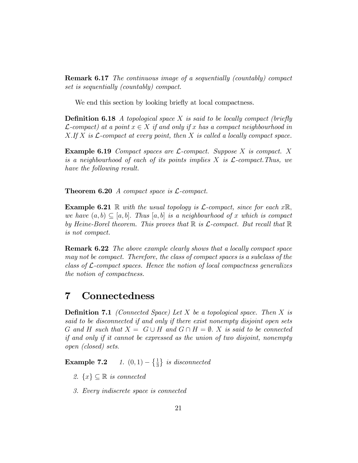Remark 6.17 The continuous image of a sequentially (countably) compact set is sequentially (countably) compact.

We end this section by looking briefly at local compactness.

**Definition 6.18** A topological space X is said to be locally compact (briefly  $\mathcal{L}\text{-compact}$  at a point  $x \in X$  if and only if x has a compact neighbourhood in  $X.$  If X is  $\mathcal{L}$ -compact at every point, then X is called a locally compact space.

**Example 6.19** Compact spaces are  $\mathcal{L}$ -compact. Suppose X is compact. X is a neighbourhood of each of its points implies  $X$  is  $\mathcal{L}$ -compact. Thus, we have the following result.

Theorem 6.20 A compact space is L-compact.

**Example 6.21** R with the usual topology is  $\mathcal{L}$ -compact, since for each  $x\mathbb{R}$ , we have  $(a, b) \subset [a, b]$ . Thus  $[a, b]$  is a neighbourhood of x which is compact by Heine-Borel theorem. This proves that  $\mathbb R$  is  $\mathcal L$ -compact. But recall that  $\mathbb R$ is not compact.

Remark 6.22 The above example clearly shows that a locally compact space may not be compact. Therefore, the class of compact spaces is a subclass of the class of  $\mathcal{L}$ -compact spaces. Hence the notion of local compactness generalizes the notion of compactness.

## 7 Connectedness

**Definition 7.1** (Connected Space) Let X be a topological space. Then X is said to be disconnected if and only if there exist nonempty disjoint open sets G and H such that  $X = G \cup H$  and  $G \cap H = \emptyset$ . X is said to be connected if and only if it cannot be expressed as the union of two disjoint, nonempty open (closed) sets:

**Example 7.2** 1.  $(0, 1) - \left\{\frac{1}{3}\right\}$  is disconnected

- 2.  $\{x\} \subseteq \mathbb{R}$  is connected
- 3. Every indiscrete space is connected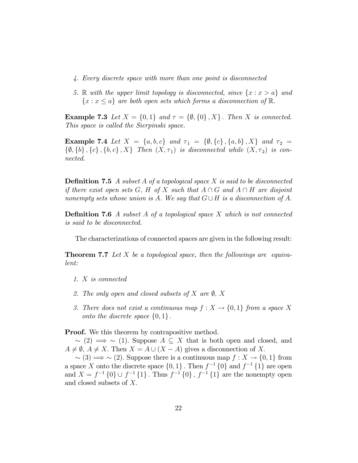- 4. Every discrete space with more than one point is disconnected
- 5. R with the upper limit topology is disconnected, since  $\{x : x > a\}$  and  ${x : x \le a}$  are both open sets which forms a disconnection of R.

**Example 7.3** Let  $X = \{0,1\}$  and  $\tau = \{\emptyset, \{0\}, X\}$ . Then X is connected. This space is called the Sierpinski space.

Example 7.4 Let  $X = \{a, b, c\}$  and  $\tau_1 = \{\emptyset, \{c\}, \{a, b\}, X\}$  and  $\tau_2 =$  $\{\emptyset, \{b\}, \{c\}, \{b, c\}, X\}$  Then  $(X, \tau_1)$  is disconnected while  $(X, \tau_2)$  is connected.

**Definition 7.5** A subset A of a topological space X is said to be disconnected if there exist open sets G, H of X such that  $A \cap G$  and  $A \cap H$  are disjoint nonempty sets whose union is A. We say that  $G \cup H$  is a disconnection of A.

**Definition 7.6** A subset A of a topological space X which is not connected is said to be disconnected.

The characterizations of connected spaces are given in the following result:

**Theorem 7.7** Let X be a topological space, then the followings are equivalent:

- 1. X is connected
- 2. The only open and closed subsets of X are  $\emptyset$ , X
- 3. There does not exist a continuous map  $f: X \to \{0,1\}$  from a space X onto the discrete space  $\{0, 1\}$ .

**Proof.** We this theorem by contrapositive method.

 $\sim$  (2)  $\Rightarrow$   $\sim$  (1). Suppose  $A \subseteq X$  that is both open and closed, and  $A \neq \emptyset$ ,  $A \neq X$ . Then  $X = A \cup (X - A)$  gives a disconnection of X.

 $\sim$  (3)  $\Longrightarrow$   $\sim$  (2). Suppose there is a continuous map  $f : X \to \{0, 1\}$  from a space X onto the discrete space  $\{0,1\}$ . Then  $f^{-1}\{0\}$  and  $f^{-1}\{1\}$  are open and  $X = f^{-1} \{0\} \cup f^{-1} \{1\}$ . Thus  $f^{-1} \{0\}$ ,  $f^{-1} \{1\}$  are the nonempty open and closed subsets of  $X$ .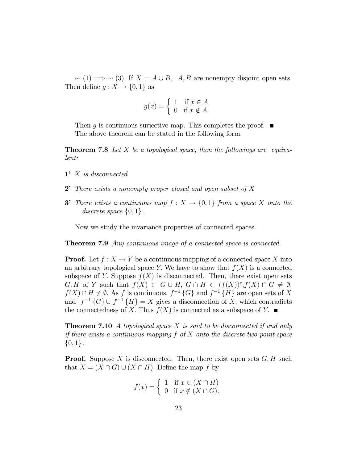$\sim$  (1)  $\Rightarrow$   $\sim$  (3). If  $X = A \cup B$ , A, B are nonempty disjoint open sets. Then define  $g: X \to \{0, 1\}$  as

$$
g(x) = \begin{cases} 1 & \text{if } x \in A \\ 0 & \text{if } x \notin A. \end{cases}
$$

Then g is continuous surjective map. This completes the proof.  $\blacksquare$ The above theorem can be stated in the following form:

**Theorem 7.8** Let X be a topological space, then the followings are equivalent:

- $1'$  X is disconnected
- 2<sup> $\bullet$ </sup> There exists a nonempty proper closed and open subset of X
- **3** There exists a continuous map  $f: X \to \{0,1\}$  from a space X onto the discrete space  $\{0,1\}$ .

Now we study the invariance properties of connected spaces.

**Theorem 7.9** Any continuous image of a connected space is connected.

**Proof.** Let  $f: X \to Y$  be a continuous mapping of a connected space X into an arbitrary topological space Y. We have to show that  $f(X)$  is a connected subspace of Y. Suppose  $f(X)$  is disconnected. Then, there exist open sets  $G, H$  of Y such that  $f(X) \subset G \cup H, G \cap H \subset (f(X))^c, f(X) \cap G \neq \emptyset$ ,  $f(X) \cap H \neq \emptyset$ . As f is continuous,  $f^{-1}{G}$  and  $f^{-1}{H}$  are open sets of X and  $f^{-1}{G} \cup f^{-1}{H} = X$  gives a disconnection of X, which contradicts the connectedness of X. Thus  $f(X)$  is connected as a subspace of Y.  $\blacksquare$ 

**Theorem 7.10** A topological space X is said to be disconnected if and only if there exists a continuous mapping  $f$  of  $X$  onto the discrete two-point space  $\{0,1\}$ .

**Proof.** Suppose X is disconnected. Then, there exist open sets  $G, H$  such that  $X = (X \cap G) \cup (X \cap H)$ . Define the map f by

$$
f(x) = \begin{cases} 1 & \text{if } x \in (X \cap H) \\ 0 & \text{if } x \notin (X \cap G). \end{cases}
$$